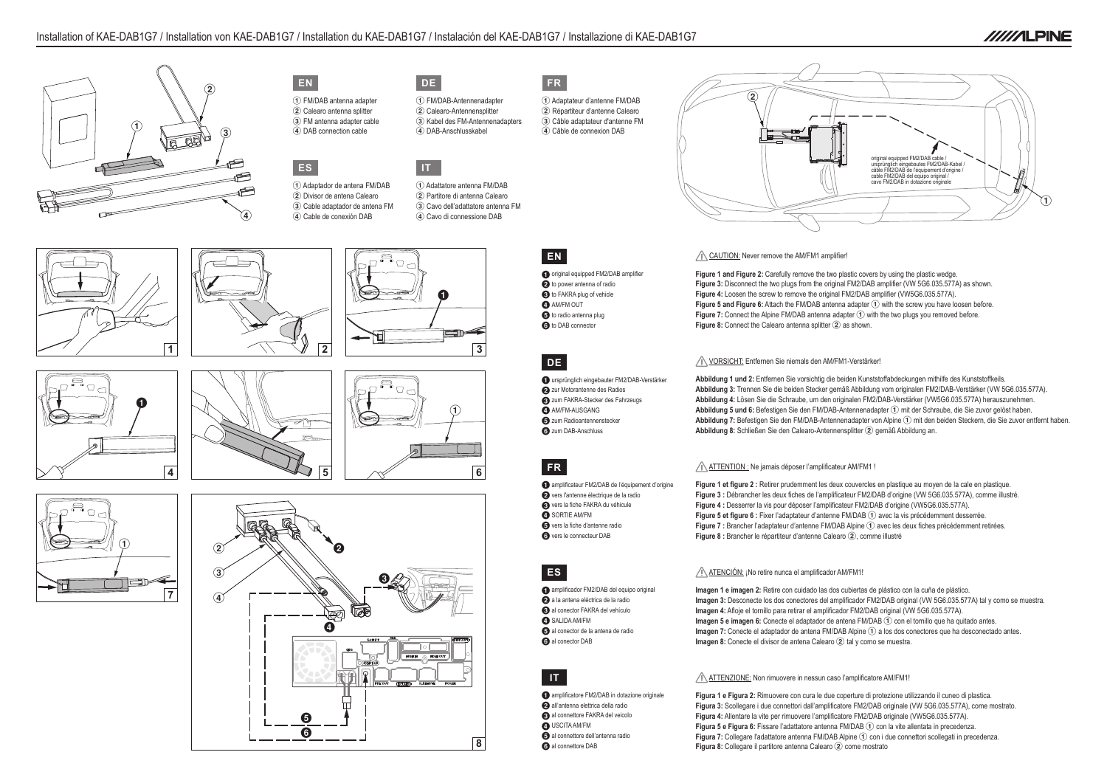



| original equipped FM2/DAB cable /<br>ursprünglich eingebautes FM2/DAB-Kabel /<br>cable FM2/DAB de l'équipement d'origine /<br>cable FM2/DAB del equipo original /<br>cavo FM2/DAB in dotazione originale |  |
|----------------------------------------------------------------------------------------------------------------------------------------------------------------------------------------------------------|--|
|                                                                                                                                                                                                          |  |



 FM/DAB antenna adapter Calearo antenna splitter FM antenna adapter cable DAB connection cable



**Figure 1 and Figure 2:** Carefully remove the two plastic covers by using the plastic wedge. **Figure 3:** Disconnect the two plugs from the original FM2/DAB amplifier (VW 5G6.035.577A) as shown. **Figure 4:** Loosen the screw to remove the original FM2/DAB amplifier (VW5G6.035.577A). Figure 5 and Figure 6: Attach the FM/DAB antenna adapter 1 with the screw you have loosen before. **Figure 7:** Connect the Alpine FM/DAB antenna adapter  $\widehat{1}$  with the two plugs you removed before. Figure 8: Connect the Calearo antenna splitter 2 as shown.



#### VORSICHT: Entfernen Sie niemals den AM/FM1-Verstärker!

 Adaptateur d'antenne FM/DAB Répartiteur d'antenne Calearo Câble adaptateur d'antenne FM Câble de connexion DAB



 FM/DAB-Antennenadapter Calearo-Antennensplitter Kabel des FM-Antennenadapters DAB-Anschlusskabel

**ES**

 Adaptador de antena FM/DAB Divisor de antena Calearo Cable adaptador de antena FM Cable de conexión DAB

> **Abbildung 1 und 2:** Entfernen Sie vorsichtig die beiden Kunststoffabdeckungen mithilfe des Kunststoffkeils. **Abbildung 3:** Trennen Sie die beiden Stecker gemäß Abbildung vom originalen FM2/DAB-Verstärker (VW 5G6.035.577A). **Abbildung 4:** Lösen Sie die Schraube, um den originalen FM2/DAB-Verstärker (VW5G6.035.577A) herauszunehmen. Abbildung 5 und 6: Befestigen Sie den FM/DAB-Antennenadapter 1 mit der Schraube, die Sie zuvor gelöst haben. Abbildung 7: Befestigen Sie den FM/DAB-Antennenadapter von Alpine (1) mit den beiden Steckern, die Sie zuvor entfernt haben. Abbildung 8: Schließen Sie den Calearo-Antennensplitter 2 gemäß Abbildung an.

#### ATTENTION : Ne jamais déposer l'amplificateur AM/FM1 !

**IT**

 Adattatore antenna FM/DAB Partitore di antenna Calearo Cavo dell'adattatore antenna FM Cavo di connessione DAB



**Figure 1 et figure 2 :** Retirer prudemment les deux couvercles en plastique au moyen de la cale en plastique. **Figure 3 :** Débrancher les deux fiches de l'amplificateur FM2/DAB d'origine (VW 5G6.035.577A), comme illustré. Figure 4 : Desserrer la vis pour déposer l'amplificateur FM2/DAB d'origine (VW5G6.035.577A). Figure 5 et figure 6 : Fixer l'adaptateur d'antenne FM/DAB (1) avec la vis précédemment desserrée. Figure 7 : Brancher l'adaptateur d'antenne FM/DAB Alpine 1 avec les deux fiches précédemment retirées. Figure 8 : Brancher le répartiteur d'antenne Calearo (2), comme illustré

#### ATENCIÓN: ¡No retire nunca el amplificador AM/FM1!

**Imagen 1 e imagen 2:** Retire con cuidado las dos cubiertas de plástico con la cuña de plástico. **Imagen 3:** Desconecte los dos conectores del amplificador FM2/DAB original (VW 5G6.035.577A) tal y como se muestra. **Imagen 4:** Afloje el tornillo para retirar el amplificador FM2/DAB original (VW 5G6.035.577A). **Imagen 5 e imagen 6:** Conecte el adaptador de antena FM/DAB (1) con el tornillo que ha quitado antes. **Imagen 7:** Conecte el adaptador de antena FM/DAB Alpine  $(1)$  a los dos conectores que ha desconectado antes. **Imagen 8:** Conecte el divisor de antena Calearo 2 tal y como se muestra.

**Figura 1 e Figura 2:** Rimuovere con cura le due coperture di protezione utilizzando il cuneo di plastica. **Figura 3:** Scollegare i due connettori dall'amplificatore FM2/DAB originale (VW 5G6.035.577A), come mostrato. **Figura 4:** Allentare la vite per rimuovere l'amplificatore FM2/DAB originale (VW5G6.035.577A). Figura 5 e Figura 6: Fissare l'adattatore antenna FM/DAB 1 con la vite allentata in precedenza Figura 7: Collegare l'adattatore antenna FM/DAB Alpine 1 con i due connettori scollegati in precedenza. **Figura 8:** Collegare il partitore antenna Calearo 2 come mostrato



**//////ILPINE** 

- 1ursprünglich eingebauter FM2/DAB-Verstärker
- 2 zur Motorantenne des Radios
- <sup>3</sup> zum FAKRA-Stecker des Fahrzeugs **4**AM/FM-AUSGANG
- 5 zum Radioantennenstecker
- **6** zum DAB-Anschluss

- 1amplificateur FM2/DAB de l'équipement d'origine
- 2vers l'antenne électrique de la radio
- 3vers la fiche FAKRA du véhicule
- **4** SORTIE AM/FM
- 5vers la fiche d'antenne radio **6** vers le connecteur DAB

- 1amplificador FM2/DAB del equipo original
- 2a la antena eléctrica de la radio 3al conector FAKRA del vehículo
- **4**SALIDA AM/FM
- 5al conector de la antena de radio
- **6** al conector DAB





### ATTENZIONE: Non rimuovere in nessun caso l'amplificatore AM/FM1!

## **EN**

- **1** original equipped FM2/DAB amplifier <sup>2</sup>to power antenna of radio <sup>3</sup>to FAKRA plug of vehicle **4**AM/FM OUT
- **6** to radio antenna plug **6** to DAB connector

## **DE**

## **FR**

# **ES**

# **IT**

- **1** amplificatore FM2/DAB in dotazione originale
- 2all'antenna elettrica della radio
- <sup>3</sup>al connettore FAKRA del veicolo
- 4USCITA AM/FM
- 5al connettore dell'antenna radio
- **6** al connettore DAB

#### CAUTION: Never remove the AM/FM1 amplifier!



![](_page_0_Picture_10.jpeg)

![](_page_0_Picture_11.jpeg)